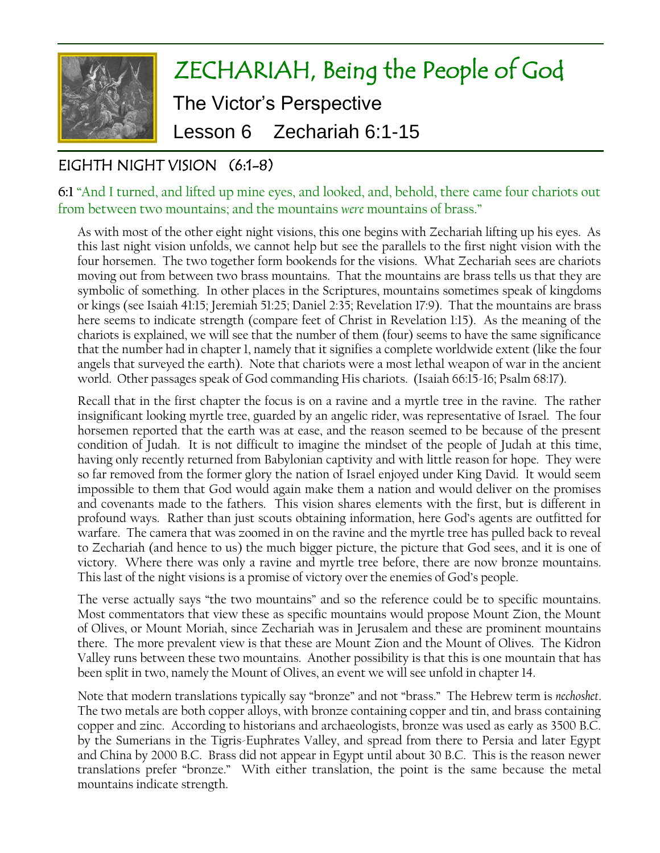

# ZECHARIAH, Being the People of God The Victor's Perspective Lesson 6 Zechariah 6:1-15

# EIGHTH NIGHT VISION (6:1-8)

**6:1** "And I turned, and lifted up mine eyes, and looked, and, behold, there came four chariots out from between two mountains; and the mountains *were* mountains of brass."

As with most of the other eight night visions, this one begins with Zechariah lifting up his eyes. As this last night vision unfolds, we cannot help but see the parallels to the first night vision with the four horsemen. The two together form bookends for the visions. What Zechariah sees are chariots moving out from between two brass mountains. That the mountains are brass tells us that they are symbolic of something. In other places in the Scriptures, mountains sometimes speak of kingdoms or kings (see Isaiah 41:15; Jeremiah 51:25; Daniel 2:35; Revelation 17:9). That the mountains are brass here seems to indicate strength (compare feet of Christ in Revelation 1:15). As the meaning of the chariots is explained, we will see that the number of them (four) seems to have the same significance that the number had in chapter 1, namely that it signifies a complete worldwide extent (like the four angels that surveyed the earth). Note that chariots were a most lethal weapon of war in the ancient world. Other passages speak of God commanding His chariots. (Isaiah 66:15-16; Psalm 68:17).

Recall that in the first chapter the focus is on a ravine and a myrtle tree in the ravine. The rather insignificant looking myrtle tree, guarded by an angelic rider, was representative of Israel. The four horsemen reported that the earth was at ease, and the reason seemed to be because of the present condition of Judah. It is not difficult to imagine the mindset of the people of Judah at this time, having only recently returned from Babylonian captivity and with little reason for hope. They were so far removed from the former glory the nation of Israel enjoyed under King David. It would seem impossible to them that God would again make them a nation and would deliver on the promises and covenants made to the fathers. This vision shares elements with the first, but is different in profound ways. Rather than just scouts obtaining information, here God's agents are outfitted for warfare. The camera that was zoomed in on the ravine and the myrtle tree has pulled back to reveal to Zechariah (and hence to us) the much bigger picture, the picture that God sees, and it is one of victory. Where there was only a ravine and myrtle tree before, there are now bronze mountains. This last of the night visions is a promise of victory over the enemies of God's people.

The verse actually says "the two mountains" and so the reference could be to specific mountains. Most commentators that view these as specific mountains would propose Mount Zion, the Mount of Olives, or Mount Moriah, since Zechariah was in Jerusalem and these are prominent mountains there. The more prevalent view is that these are Mount Zion and the Mount of Olives. The Kidron Valley runs between these two mountains. Another possibility is that this is one mountain that has been split in two, namely the Mount of Olives, an event we will see unfold in chapter 14.

Note that modern translations typically say "bronze" and not "brass." The Hebrew term is *nechoshet*. The two metals are both copper alloys, with bronze containing copper and tin, and brass containing copper and zinc. According to historians and archaeologists, bronze was used as early as 3500 B.C. by the Sumerians in the Tigris-Euphrates Valley, and spread from there to Persia and later Egypt and China by 2000 B.C. Brass did not appear in Egypt until about 30 B.C. This is the reason newer translations prefer "bronze." With either translation, the point is the same because the metal mountains indicate strength.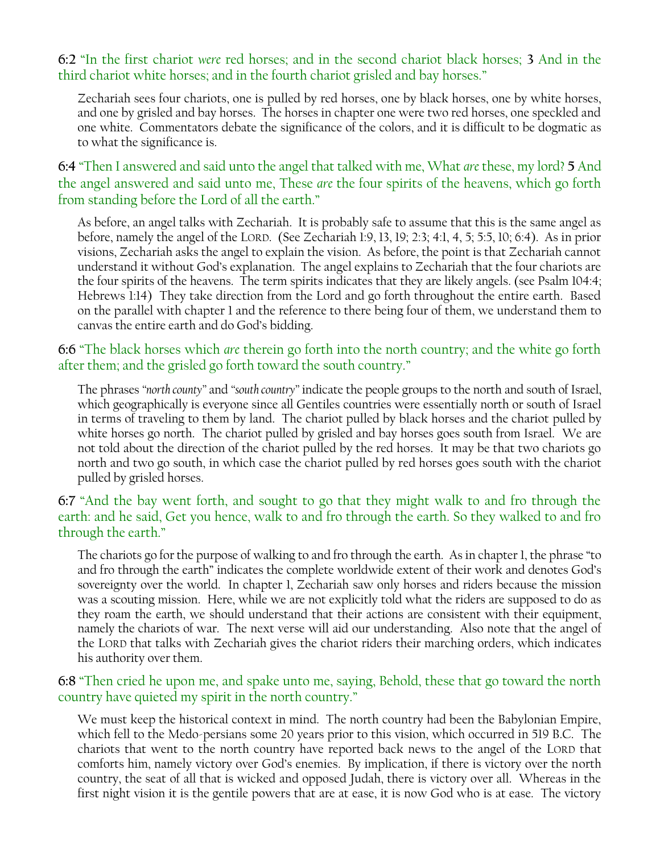#### **6:2** "In the first chariot *were* red horses; and in the second chariot black horses; **3** And in the third chariot white horses; and in the fourth chariot grisled and bay horses."

Zechariah sees four chariots, one is pulled by red horses, one by black horses, one by white horses, and one by grisled and bay horses. The horses in chapter one were two red horses, one speckled and one white. Commentators debate the significance of the colors, and it is difficult to be dogmatic as to what the significance is.

**6:4** "Then I answered and said unto the angel that talked with me, What *are* these, my lord? **5** And the angel answered and said unto me, These *are* the four spirits of the heavens, which go forth from standing before the Lord of all the earth."

As before, an angel talks with Zechariah. It is probably safe to assume that this is the same angel as before, namely the angel of the LORD. (See Zechariah 1:9, 13, 19; 2:3; 4:1, 4, 5; 5:5, 10; 6:4). As in prior visions, Zechariah asks the angel to explain the vision. As before, the point is that Zechariah cannot understand it without God's explanation. The angel explains to Zechariah that the four chariots are the four spirits of the heavens. The term spirits indicates that they are likely angels. (see Psalm 104:4; Hebrews 1:14) They take direction from the Lord and go forth throughout the entire earth. Based on the parallel with chapter 1 and the reference to there being four of them, we understand them to canvas the entire earth and do God's bidding.

# **6:6** "The black horses which *are* therein go forth into the north country; and the white go forth after them; and the grisled go forth toward the south country."

The phrases *"north county"* and *"south country"* indicate the people groups to the north and south of Israel, which geographically is everyone since all Gentiles countries were essentially north or south of Israel in terms of traveling to them by land. The chariot pulled by black horses and the chariot pulled by white horses go north. The chariot pulled by grisled and bay horses goes south from Israel. We are not told about the direction of the chariot pulled by the red horses. It may be that two chariots go north and two go south, in which case the chariot pulled by red horses goes south with the chariot pulled by grisled horses.

# **6:7** "And the bay went forth, and sought to go that they might walk to and fro through the earth: and he said, Get you hence, walk to and fro through the earth. So they walked to and fro through the earth."

The chariots go for the purpose of walking to and fro through the earth. As in chapter 1, the phrase "to and fro through the earth" indicates the complete worldwide extent of their work and denotes God's sovereignty over the world. In chapter 1, Zechariah saw only horses and riders because the mission was a scouting mission. Here, while we are not explicitly told what the riders are supposed to do as they roam the earth, we should understand that their actions are consistent with their equipment, namely the chariots of war. The next verse will aid our understanding. Also note that the angel of the LORD that talks with Zechariah gives the chariot riders their marching orders, which indicates his authority over them.

#### **6:8** "Then cried he upon me, and spake unto me, saying, Behold, these that go toward the north country have quieted my spirit in the north country."

We must keep the historical context in mind. The north country had been the Babylonian Empire, which fell to the Medo-persians some 20 years prior to this vision, which occurred in 519 B.C. The chariots that went to the north country have reported back news to the angel of the LORD that comforts him, namely victory over God's enemies. By implication, if there is victory over the north country, the seat of all that is wicked and opposed Judah, there is victory over all. Whereas in the first night vision it is the gentile powers that are at ease, it is now God who is at ease. The victory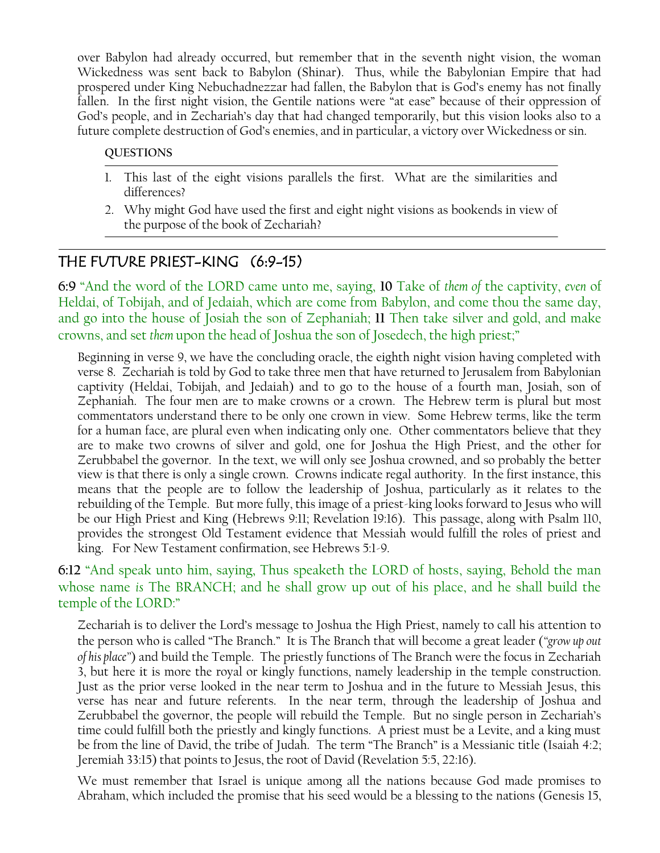over Babylon had already occurred, but remember that in the seventh night vision, the woman Wickedness was sent back to Babylon (Shinar). Thus, while the Babylonian Empire that had prospered under King Nebuchadnezzar had fallen, the Babylon that is God's enemy has not finally fallen. In the first night vision, the Gentile nations were "at ease" because of their oppression of God's people, and in Zechariah's day that had changed temporarily, but this vision looks also to a future complete destruction of God's enemies, and in particular, a victory over Wickedness or sin.

#### **QUESTIONS**

- 1. This last of the eight visions parallels the first. What are the similarities and differences?
- 2. Why might God have used the first and eight night visions as bookends in view of the purpose of the book of Zechariah?

# THE FUTURE PRIEST-KING (6:9-15)

**6:9** "And the word of the LORD came unto me, saying, **10** Take of *them of* the captivity, *even* of Heldai, of Tobijah, and of Jedaiah, which are come from Babylon, and come thou the same day, and go into the house of Josiah the son of Zephaniah; **11** Then take silver and gold, and make crowns, and set *them* upon the head of Joshua the son of Josedech, the high priest;"

Beginning in verse 9, we have the concluding oracle, the eighth night vision having completed with verse 8. Zechariah is told by God to take three men that have returned to Jerusalem from Babylonian captivity (Heldai, Tobijah, and Jedaiah) and to go to the house of a fourth man, Josiah, son of Zephaniah. The four men are to make crowns or a crown. The Hebrew term is plural but most commentators understand there to be only one crown in view. Some Hebrew terms, like the term for a human face, are plural even when indicating only one. Other commentators believe that they are to make two crowns of silver and gold, one for Joshua the High Priest, and the other for Zerubbabel the governor. In the text, we will only see Joshua crowned, and so probably the better view is that there is only a single crown. Crowns indicate regal authority. In the first instance, this means that the people are to follow the leadership of Joshua, particularly as it relates to the rebuilding of the Temple. But more fully, this image of a priest-king looks forward to Jesus who will be our High Priest and King (Hebrews 9:11; Revelation 19:16). This passage, along with Psalm 110, provides the strongest Old Testament evidence that Messiah would fulfill the roles of priest and king. For New Testament confirmation, see Hebrews 5:1-9.

# **6:12** "And speak unto him, saying, Thus speaketh the LORD of hosts, saying, Behold the man whose name *is* The BRANCH; and he shall grow up out of his place, and he shall build the temple of the LORD:"

Zechariah is to deliver the Lord's message to Joshua the High Priest, namely to call his attention to the person who is called "The Branch." It is The Branch that will become a great leader (*"grow up out of his place"*) and build the Temple. The priestly functions of The Branch were the focus in Zechariah 3, but here it is more the royal or kingly functions, namely leadership in the temple construction. Just as the prior verse looked in the near term to Joshua and in the future to Messiah Jesus, this verse has near and future referents. In the near term, through the leadership of Joshua and Zerubbabel the governor, the people will rebuild the Temple. But no single person in Zechariah's time could fulfill both the priestly and kingly functions. A priest must be a Levite, and a king must be from the line of David, the tribe of Judah. The term "The Branch" is a Messianic title (Isaiah 4:2; Jeremiah 33:15) that points to Jesus, the root of David (Revelation 5:5, 22:16).

We must remember that Israel is unique among all the nations because God made promises to Abraham, which included the promise that his seed would be a blessing to the nations (Genesis 15,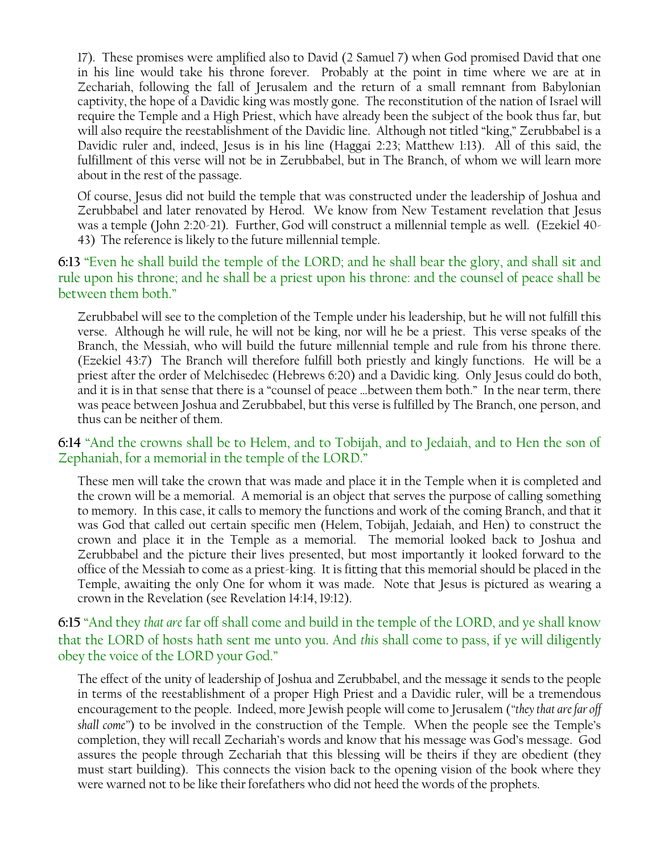17). These promises were amplified also to David (2 Samuel 7) when God promised David that one in his line would take his throne forever. Probably at the point in time where we are at in Zechariah, following the fall of Jerusalem and the return of a small remnant from Babylonian captivity, the hope of a Davidic king was mostly gone. The reconstitution of the nation of Israel will require the Temple and a High Priest, which have already been the subject of the book thus far, but will also require the reestablishment of the Davidic line. Although not titled "king," Zerubbabel is a Davidic ruler and, indeed, Jesus is in his line (Haggai 2:23; Matthew 1:13). All of this said, the fulfillment of this verse will not be in Zerubbabel, but in The Branch, of whom we will learn more about in the rest of the passage.

Of course, Jesus did not build the temple that was constructed under the leadership of Joshua and Zerubbabel and later renovated by Herod. We know from New Testament revelation that Jesus was a temple (John 2:20-21). Further, God will construct a millennial temple as well. (Ezekiel 40- 43) The reference is likely to the future millennial temple.

**6:13** "Even he shall build the temple of the LORD; and he shall bear the glory, and shall sit and rule upon his throne; and he shall be a priest upon his throne: and the counsel of peace shall be between them both."

Zerubbabel will see to the completion of the Temple under his leadership, but he will not fulfill this verse. Although he will rule, he will not be king, nor will he be a priest. This verse speaks of the Branch, the Messiah, who will build the future millennial temple and rule from his throne there. (Ezekiel 43:7) The Branch will therefore fulfill both priestly and kingly functions. He will be a priest after the order of Melchisedec (Hebrews 6:20) and a Davidic king. Only Jesus could do both, and it is in that sense that there is a "counsel of peace …between them both." In the near term, there was peace between Joshua and Zerubbabel, but this verse is fulfilled by The Branch, one person, and thus can be neither of them.

# **6:14** "And the crowns shall be to Helem, and to Tobijah, and to Jedaiah, and to Hen the son of Zephaniah, for a memorial in the temple of the LORD."

These men will take the crown that was made and place it in the Temple when it is completed and the crown will be a memorial. A memorial is an object that serves the purpose of calling something to memory. In this case, it calls to memory the functions and work of the coming Branch, and that it was God that called out certain specific men (Helem, Tobijah, Jedaiah, and Hen) to construct the crown and place it in the Temple as a memorial. The memorial looked back to Joshua and Zerubbabel and the picture their lives presented, but most importantly it looked forward to the office of the Messiah to come as a priest-king. It is fitting that this memorial should be placed in the Temple, awaiting the only One for whom it was made. Note that Jesus is pictured as wearing a crown in the Revelation (see Revelation 14:14, 19:12).

# **6:15** "And they *that are* far off shall come and build in the temple of the LORD, and ye shall know that the LORD of hosts hath sent me unto you. And *this* shall come to pass, if ye will diligently obey the voice of the LORD your God."

The effect of the unity of leadership of Joshua and Zerubbabel, and the message it sends to the people in terms of the reestablishment of a proper High Priest and a Davidic ruler, will be a tremendous encouragement to the people. Indeed, more Jewish people will come to Jerusalem (*"they that are far off shall come"*) to be involved in the construction of the Temple. When the people see the Temple's completion, they will recall Zechariah's words and know that his message was God's message. God assures the people through Zechariah that this blessing will be theirs if they are obedient (they must start building). This connects the vision back to the opening vision of the book where they were warned not to be like their forefathers who did not heed the words of the prophets.